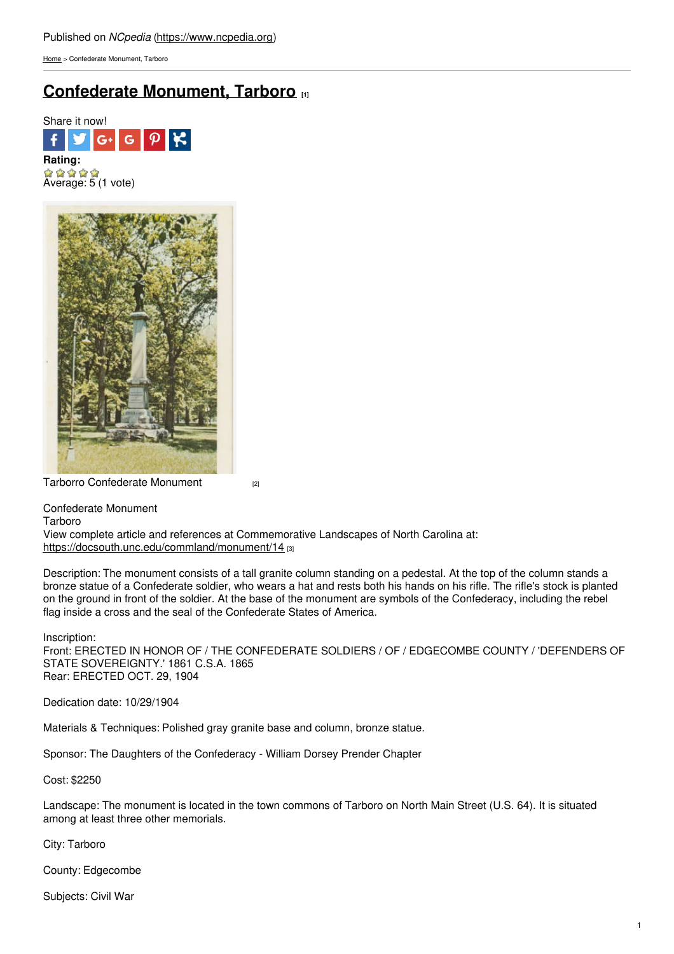[Home](https://www.ncpedia.org/) > Confederate Monument, Tarboro

## **[Confederate](https://www.ncpedia.org/monument/confederate-monument-2) Monument, Tarboro [1]**



Average: 5 (1 vote)



Tarborro [Confederate](http://dc.lib.unc.edu/cgi-bin/getimage.exe?CISOROOT=/nc_post&CISOPTR=9969&DMSCALE=14&DMWIDTH=300&DMHEIGHT=400&DMROTATE=0) Monument [2]

Confederate Monument

Tarboro

View complete article and references at Commemorative Landscapes of North Carolina at: <https://docsouth.unc.edu/commland/monument/14> [3]

Description: The monument consists of a tall granite column standing on a pedestal. At the top of the column stands a bronze statue of a Confederate soldier, who wears a hat and rests both his hands on his rifle. The rifle's stock is planted on the ground in front of the soldier. At the base of the monument are symbols of the Confederacy, including the rebel flag inside a cross and the seal of the Confederate States of America.

## Inscription:

Front: ERECTED IN HONOR OF / THE CONFEDERATE SOLDIERS / OF / EDGECOMBE COUNTY / 'DEFENDERS OF STATE SOVEREIGNTY.' 1861 C.S.A. 1865 Rear: ERECTED OCT. 29, 1904

Dedication date: 10/29/1904

Materials & Techniques: Polished gray granite base and column, bronze statue.

Sponsor: The Daughters of the Confederacy - William Dorsey Prender Chapter

Cost: \$2250

Landscape: The monument is located in the town commons of Tarboro on North Main Street (U.S. 64). It is situated among at least three other memorials.

City: Tarboro

County: Edgecombe

Subjects: Civil War